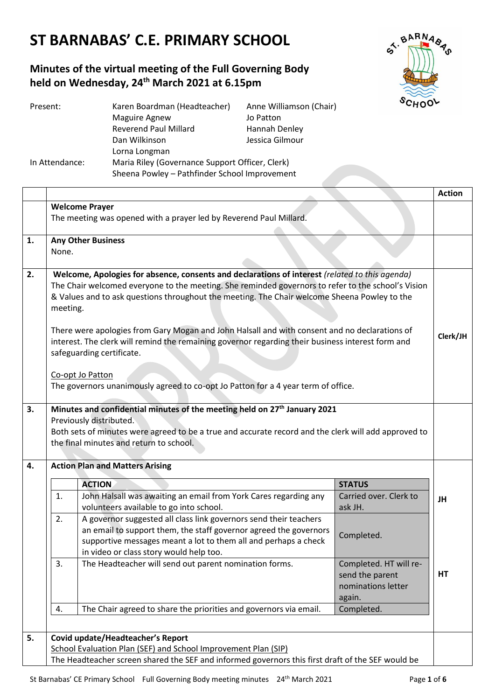# **ST BARNABAS' C.E. PRIMARY SCHOOL**

## **Minutes of the virtual meeting of the Full Governing Body held on Wednesday, 24th March 2021 at 6.15pm**



| Present:       | Karen Boardman (Headteacher)                    | Anne Williamson (Chair) |  |
|----------------|-------------------------------------------------|-------------------------|--|
|                | <b>Maguire Agnew</b>                            | Jo Patton               |  |
|                | <b>Reverend Paul Millard</b>                    | Hannah Denley           |  |
|                | Dan Wilkinson                                   | Jessica Gilmour         |  |
|                | Lorna Longman                                   |                         |  |
| In Attendance: | Maria Riley (Governance Support Officer, Clerk) |                         |  |
|                | Sheena Powley - Pathfinder School Improvement   |                         |  |

|    |                                                                                                                                                                                                                                                                                                                                                                                                                                                                                                                                                                                                                                                              |                                                                                                                                                                                                                                                      |                                                                           | <b>Action</b> |
|----|--------------------------------------------------------------------------------------------------------------------------------------------------------------------------------------------------------------------------------------------------------------------------------------------------------------------------------------------------------------------------------------------------------------------------------------------------------------------------------------------------------------------------------------------------------------------------------------------------------------------------------------------------------------|------------------------------------------------------------------------------------------------------------------------------------------------------------------------------------------------------------------------------------------------------|---------------------------------------------------------------------------|---------------|
|    |                                                                                                                                                                                                                                                                                                                                                                                                                                                                                                                                                                                                                                                              | <b>Welcome Prayer</b>                                                                                                                                                                                                                                |                                                                           |               |
|    | The meeting was opened with a prayer led by Reverend Paul Millard.                                                                                                                                                                                                                                                                                                                                                                                                                                                                                                                                                                                           |                                                                                                                                                                                                                                                      |                                                                           |               |
| 1. | <b>Any Other Business</b>                                                                                                                                                                                                                                                                                                                                                                                                                                                                                                                                                                                                                                    |                                                                                                                                                                                                                                                      |                                                                           |               |
|    | None.                                                                                                                                                                                                                                                                                                                                                                                                                                                                                                                                                                                                                                                        |                                                                                                                                                                                                                                                      |                                                                           |               |
| 2. | Welcome, Apologies for absence, consents and declarations of interest (related to this agenda)<br>The Chair welcomed everyone to the meeting. She reminded governors to refer to the school's Vision<br>& Values and to ask questions throughout the meeting. The Chair welcome Sheena Powley to the<br>meeting.<br>There were apologies from Gary Mogan and John Halsall and with consent and no declarations of<br>interest. The clerk will remind the remaining governor regarding their business interest form and<br>safeguarding certificate.<br>Co-opt Jo Patton<br>The governors unanimously agreed to co-opt Jo Patton for a 4 year term of office. |                                                                                                                                                                                                                                                      |                                                                           | Clerk/JH      |
| 3. | Minutes and confidential minutes of the meeting held on 27 <sup>th</sup> January 2021<br>Previously distributed.<br>Both sets of minutes were agreed to be a true and accurate record and the clerk will add approved to<br>the final minutes and return to school.                                                                                                                                                                                                                                                                                                                                                                                          |                                                                                                                                                                                                                                                      |                                                                           |               |
| 4. |                                                                                                                                                                                                                                                                                                                                                                                                                                                                                                                                                                                                                                                              | <b>Action Plan and Matters Arising</b>                                                                                                                                                                                                               |                                                                           |               |
|    |                                                                                                                                                                                                                                                                                                                                                                                                                                                                                                                                                                                                                                                              | <b>ACTION</b>                                                                                                                                                                                                                                        | <b>STATUS</b>                                                             |               |
|    | 1.                                                                                                                                                                                                                                                                                                                                                                                                                                                                                                                                                                                                                                                           | John Halsall was awaiting an email from York Cares regarding any<br>volunteers available to go into school.                                                                                                                                          | Carried over. Clerk to<br>ask JH.                                         | JH            |
|    | 2.                                                                                                                                                                                                                                                                                                                                                                                                                                                                                                                                                                                                                                                           | A governor suggested all class link governors send their teachers<br>an email to support them, the staff governor agreed the governors<br>supportive messages meant a lot to them all and perhaps a check<br>in video or class story would help too. | Completed.                                                                |               |
|    | 3.                                                                                                                                                                                                                                                                                                                                                                                                                                                                                                                                                                                                                                                           | The Headteacher will send out parent nomination forms.                                                                                                                                                                                               | Completed. HT will re-<br>send the parent<br>nominations letter<br>again. | HT            |
|    | 4.                                                                                                                                                                                                                                                                                                                                                                                                                                                                                                                                                                                                                                                           | The Chair agreed to share the priorities and governors via email.                                                                                                                                                                                    | Completed.                                                                |               |
| 5. |                                                                                                                                                                                                                                                                                                                                                                                                                                                                                                                                                                                                                                                              |                                                                                                                                                                                                                                                      |                                                                           |               |
|    | Covid update/Headteacher's Report<br>School Evaluation Plan (SEF) and School Improvement Plan (SIP)                                                                                                                                                                                                                                                                                                                                                                                                                                                                                                                                                          |                                                                                                                                                                                                                                                      |                                                                           |               |
|    | The Headteacher screen shared the SEF and informed governors this first draft of the SEF would be                                                                                                                                                                                                                                                                                                                                                                                                                                                                                                                                                            |                                                                                                                                                                                                                                                      |                                                                           |               |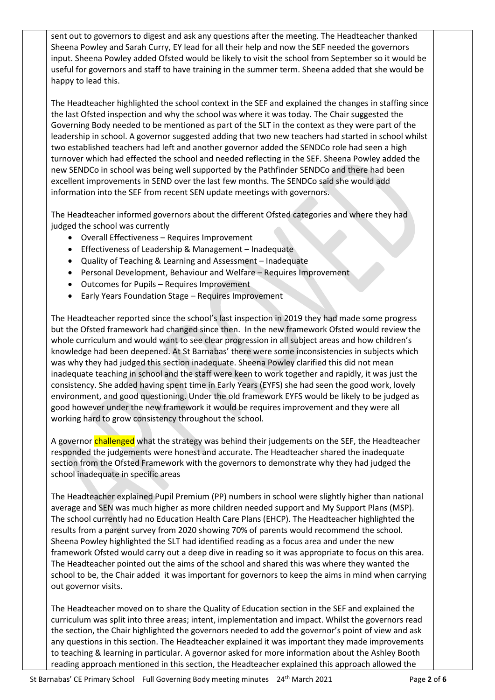sent out to governors to digest and ask any questions after the meeting. The Headteacher thanked Sheena Powley and Sarah Curry, EY lead for all their help and now the SEF needed the governors input. Sheena Powley added Ofsted would be likely to visit the school from September so it would be useful for governors and staff to have training in the summer term. Sheena added that she would be happy to lead this.

The Headteacher highlighted the school context in the SEF and explained the changes in staffing since the last Ofsted inspection and why the school was where it was today. The Chair suggested the Governing Body needed to be mentioned as part of the SLT in the context as they were part of the leadership in school. A governor suggested adding that two new teachers had started in school whilst two established teachers had left and another governor added the SENDCo role had seen a high turnover which had effected the school and needed reflecting in the SEF. Sheena Powley added the new SENDCo in school was being well supported by the Pathfinder SENDCo and there had been excellent improvements in SEND over the last few months. The SENDCo said she would add information into the SEF from recent SEN update meetings with governors.

The Headteacher informed governors about the different Ofsted categories and where they had judged the school was currently

- Overall Effectiveness Requires Improvement
- Effectiveness of Leadership & Management Inadequate
- Quality of Teaching & Learning and Assessment Inadequate
- Personal Development, Behaviour and Welfare Requires Improvement
- Outcomes for Pupils Requires Improvement
- Early Years Foundation Stage Requires Improvement

The Headteacher reported since the school's last inspection in 2019 they had made some progress but the Ofsted framework had changed since then. In the new framework Ofsted would review the whole curriculum and would want to see clear progression in all subject areas and how children's knowledge had been deepened. At St Barnabas' there were some inconsistencies in subjects which was why they had judged this section inadequate. Sheena Powley clarified this did not mean inadequate teaching in school and the staff were keen to work together and rapidly, it was just the consistency. She added having spent time in Early Years (EYFS) she had seen the good work, lovely environment, and good questioning. Under the old framework EYFS would be likely to be judged as good however under the new framework it would be requires improvement and they were all working hard to grow consistency throughout the school.

A governor challenged what the strategy was behind their judgements on the SEF, the Headteacher responded the judgements were honest and accurate. The Headteacher shared the inadequate section from the Ofsted Framework with the governors to demonstrate why they had judged the school inadequate in specific areas

The Headteacher explained Pupil Premium (PP) numbers in school were slightly higher than national average and SEN was much higher as more children needed support and My Support Plans (MSP). The school currently had no Education Health Care Plans (EHCP). The Headteacher highlighted the results from a parent survey from 2020 showing 70% of parents would recommend the school. Sheena Powley highlighted the SLT had identified reading as a focus area and under the new framework Ofsted would carry out a deep dive in reading so it was appropriate to focus on this area. The Headteacher pointed out the aims of the school and shared this was where they wanted the school to be, the Chair added it was important for governors to keep the aims in mind when carrying out governor visits.

The Headteacher moved on to share the Quality of Education section in the SEF and explained the curriculum was split into three areas; intent, implementation and impact. Whilst the governors read the section, the Chair highlighted the governors needed to add the governor's point of view and ask any questions in this section. The Headteacher explained it was important they made improvements to teaching & learning in particular. A governor asked for more information about the Ashley Booth reading approach mentioned in this section, the Headteacher explained this approach allowed the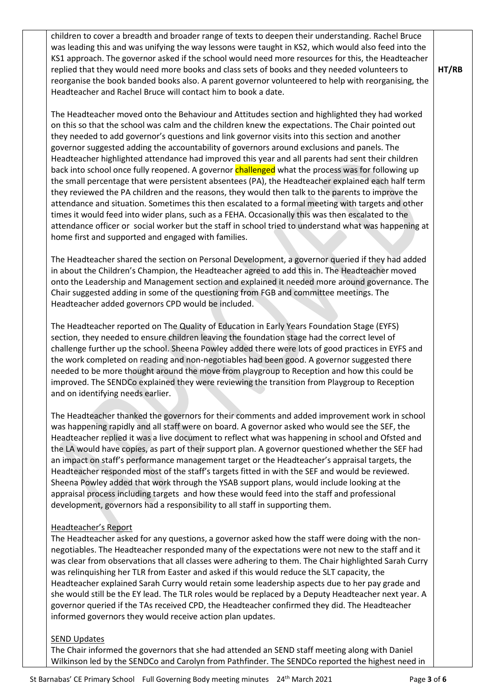children to cover a breadth and broader range of texts to deepen their understanding. Rachel Bruce was leading this and was unifying the way lessons were taught in KS2, which would also feed into the KS1 approach. The governor asked if the school would need more resources for this, the Headteacher replied that they would need more books and class sets of books and they needed volunteers to reorganise the book banded books also. A parent governor volunteered to help with reorganising, the Headteacher and Rachel Bruce will contact him to book a date.

The Headteacher moved onto the Behaviour and Attitudes section and highlighted they had worked on this so that the school was calm and the children knew the expectations. The Chair pointed out they needed to add governor's questions and link governor visits into this section and another governor suggested adding the accountability of governors around exclusions and panels. The Headteacher highlighted attendance had improved this year and all parents had sent their children back into school once fully reopened. A governor **challenged** what the process was for following up the small percentage that were persistent absentees (PA), the Headteacher explained each half term they reviewed the PA children and the reasons, they would then talk to the parents to improve the attendance and situation. Sometimes this then escalated to a formal meeting with targets and other times it would feed into wider plans, such as a FEHA. Occasionally this was then escalated to the attendance officer or social worker but the staff in school tried to understand what was happening at home first and supported and engaged with families.

The Headteacher shared the section on Personal Development, a governor queried if they had added in about the Children's Champion, the Headteacher agreed to add this in. The Headteacher moved onto the Leadership and Management section and explained it needed more around governance. The Chair suggested adding in some of the questioning from FGB and committee meetings. The Headteacher added governors CPD would be included.

The Headteacher reported on The Quality of Education in Early Years Foundation Stage (EYFS) section, they needed to ensure children leaving the foundation stage had the correct level of challenge further up the school. Sheena Powley added there were lots of good practices in EYFS and the work completed on reading and non-negotiables had been good. A governor suggested there needed to be more thought around the move from playgroup to Reception and how this could be improved. The SENDCo explained they were reviewing the transition from Playgroup to Reception and on identifying needs earlier.

The Headteacher thanked the governors for their comments and added improvement work in school was happening rapidly and all staff were on board. A governor asked who would see the SEF, the Headteacher replied it was a live document to reflect what was happening in school and Ofsted and the LA would have copies, as part of their support plan. A governor questioned whether the SEF had an impact on staff's performance management target or the Headteacher's appraisal targets, the Headteacher responded most of the staff's targets fitted in with the SEF and would be reviewed. Sheena Powley added that work through the YSAB support plans, would include looking at the appraisal process including targets and how these would feed into the staff and professional development, governors had a responsibility to all staff in supporting them.

#### Headteacher's Report

The Headteacher asked for any questions, a governor asked how the staff were doing with the nonnegotiables. The Headteacher responded many of the expectations were not new to the staff and it was clear from observations that all classes were adhering to them. The Chair highlighted Sarah Curry was relinquishing her TLR from Easter and asked if this would reduce the SLT capacity, the Headteacher explained Sarah Curry would retain some leadership aspects due to her pay grade and she would still be the EY lead. The TLR roles would be replaced by a Deputy Headteacher next year. A governor queried if the TAs received CPD, the Headteacher confirmed they did. The Headteacher informed governors they would receive action plan updates.

#### SEND Updates

The Chair informed the governors that she had attended an SEND staff meeting along with Daniel Wilkinson led by the SENDCo and Carolyn from Pathfinder. The SENDCo reported the highest need in **HT/RB**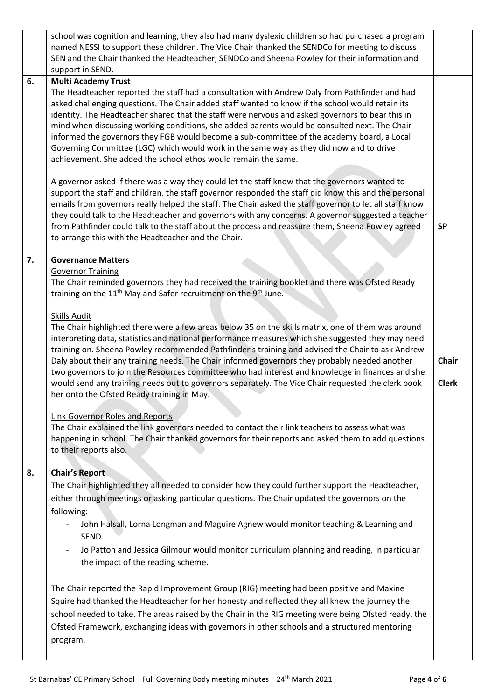|    | school was cognition and learning, they also had many dyslexic children so had purchased a program<br>named NESSI to support these children. The Vice Chair thanked the SENDCo for meeting to discuss<br>SEN and the Chair thanked the Headteacher, SENDCo and Sheena Powley for their information and<br>support in SEND.                                                                                                                                                                                                                                                                                                                                                                                                                                                                                                                                                                                                                                                                                                                                                                                                                                                                                                      |                       |
|----|---------------------------------------------------------------------------------------------------------------------------------------------------------------------------------------------------------------------------------------------------------------------------------------------------------------------------------------------------------------------------------------------------------------------------------------------------------------------------------------------------------------------------------------------------------------------------------------------------------------------------------------------------------------------------------------------------------------------------------------------------------------------------------------------------------------------------------------------------------------------------------------------------------------------------------------------------------------------------------------------------------------------------------------------------------------------------------------------------------------------------------------------------------------------------------------------------------------------------------|-----------------------|
| 6. | <b>Multi Academy Trust</b>                                                                                                                                                                                                                                                                                                                                                                                                                                                                                                                                                                                                                                                                                                                                                                                                                                                                                                                                                                                                                                                                                                                                                                                                      |                       |
|    | The Headteacher reported the staff had a consultation with Andrew Daly from Pathfinder and had<br>asked challenging questions. The Chair added staff wanted to know if the school would retain its<br>identity. The Headteacher shared that the staff were nervous and asked governors to bear this in<br>mind when discussing working conditions, she added parents would be consulted next. The Chair<br>informed the governors they FGB would become a sub-committee of the academy board, a Local<br>Governing Committee (LGC) which would work in the same way as they did now and to drive<br>achievement. She added the school ethos would remain the same.                                                                                                                                                                                                                                                                                                                                                                                                                                                                                                                                                              |                       |
|    | A governor asked if there was a way they could let the staff know that the governors wanted to<br>support the staff and children, the staff governor responded the staff did know this and the personal<br>emails from governors really helped the staff. The Chair asked the staff governor to let all staff know<br>they could talk to the Headteacher and governors with any concerns. A governor suggested a teacher<br>from Pathfinder could talk to the staff about the process and reassure them, Sheena Powley agreed<br>to arrange this with the Headteacher and the Chair.                                                                                                                                                                                                                                                                                                                                                                                                                                                                                                                                                                                                                                            | <b>SP</b>             |
|    |                                                                                                                                                                                                                                                                                                                                                                                                                                                                                                                                                                                                                                                                                                                                                                                                                                                                                                                                                                                                                                                                                                                                                                                                                                 |                       |
| 7. | <b>Governance Matters</b><br><b>Governor Training</b><br>The Chair reminded governors they had received the training booklet and there was Ofsted Ready<br>training on the 11 <sup>th</sup> May and Safer recruitment on the 9 <sup>th</sup> June.<br><b>Skills Audit</b><br>The Chair highlighted there were a few areas below 35 on the skills matrix, one of them was around<br>interpreting data, statistics and national performance measures which she suggested they may need<br>training on. Sheena Powley recommended Pathfinder's training and advised the Chair to ask Andrew<br>Daly about their any training needs. The Chair informed governors they probably needed another<br>two governors to join the Resources committee who had interest and knowledge in finances and she<br>would send any training needs out to governors separately. The Vice Chair requested the clerk book<br>her onto the Ofsted Ready training in May.<br><b>Link Governor Roles and Reports</b><br>The Chair explained the link governors needed to contact their link teachers to assess what was<br>happening in school. The Chair thanked governors for their reports and asked them to add questions<br>to their reports also. | Chair<br><b>Clerk</b> |
| 8. | <b>Chair's Report</b><br>The Chair highlighted they all needed to consider how they could further support the Headteacher,<br>either through meetings or asking particular questions. The Chair updated the governors on the<br>following:<br>John Halsall, Lorna Longman and Maguire Agnew would monitor teaching & Learning and<br>SEND.<br>Jo Patton and Jessica Gilmour would monitor curriculum planning and reading, in particular<br>the impact of the reading scheme.<br>The Chair reported the Rapid Improvement Group (RIG) meeting had been positive and Maxine<br>Squire had thanked the Headteacher for her honesty and reflected they all knew the journey the<br>school needed to take. The areas raised by the Chair in the RIG meeting were being Ofsted ready, the<br>Ofsted Framework, exchanging ideas with governors in other schools and a structured mentoring<br>program.                                                                                                                                                                                                                                                                                                                               |                       |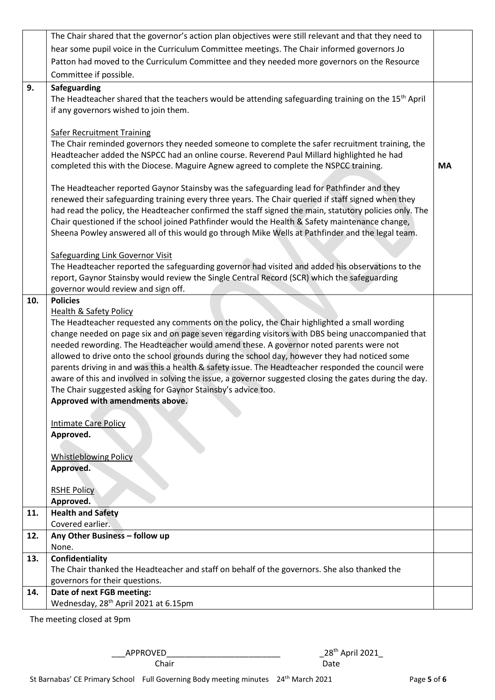|     | The Chair shared that the governor's action plan objectives were still relevant and that they need to                                                                                                    |           |  |
|-----|----------------------------------------------------------------------------------------------------------------------------------------------------------------------------------------------------------|-----------|--|
|     | hear some pupil voice in the Curriculum Committee meetings. The Chair informed governors Jo                                                                                                              |           |  |
|     | Patton had moved to the Curriculum Committee and they needed more governors on the Resource                                                                                                              |           |  |
|     | Committee if possible.                                                                                                                                                                                   |           |  |
| 9.  | Safeguarding                                                                                                                                                                                             |           |  |
|     | The Headteacher shared that the teachers would be attending safeguarding training on the 15 <sup>th</sup> April                                                                                          |           |  |
|     | if any governors wished to join them.                                                                                                                                                                    |           |  |
|     |                                                                                                                                                                                                          |           |  |
|     | <b>Safer Recruitment Training</b>                                                                                                                                                                        |           |  |
|     | The Chair reminded governors they needed someone to complete the safer recruitment training, the                                                                                                         |           |  |
|     | Headteacher added the NSPCC had an online course. Reverend Paul Millard highlighted he had                                                                                                               |           |  |
|     | completed this with the Diocese. Maguire Agnew agreed to complete the NSPCC training.                                                                                                                    | <b>MA</b> |  |
|     |                                                                                                                                                                                                          |           |  |
|     | The Headteacher reported Gaynor Stainsby was the safeguarding lead for Pathfinder and they                                                                                                               |           |  |
|     | renewed their safeguarding training every three years. The Chair queried if staff signed when they                                                                                                       |           |  |
|     | had read the policy, the Headteacher confirmed the staff signed the main, statutory policies only. The<br>Chair questioned if the school joined Pathfinder would the Health & Safety maintenance change, |           |  |
|     | Sheena Powley answered all of this would go through Mike Wells at Pathfinder and the legal team.                                                                                                         |           |  |
|     |                                                                                                                                                                                                          |           |  |
|     | <b>Safeguarding Link Governor Visit</b>                                                                                                                                                                  |           |  |
|     | The Headteacher reported the safeguarding governor had visited and added his observations to the                                                                                                         |           |  |
|     | report, Gaynor Stainsby would review the Single Central Record (SCR) which the safeguarding                                                                                                              |           |  |
|     | governor would review and sign off.                                                                                                                                                                      |           |  |
| 10. | <b>Policies</b>                                                                                                                                                                                          |           |  |
|     | <b>Health &amp; Safety Policy</b>                                                                                                                                                                        |           |  |
|     | The Headteacher requested any comments on the policy, the Chair highlighted a small wording                                                                                                              |           |  |
|     | change needed on page six and on page seven regarding visitors with DBS being unaccompanied that                                                                                                         |           |  |
|     | needed rewording. The Headteacher would amend these. A governor noted parents were not                                                                                                                   |           |  |
|     | allowed to drive onto the school grounds during the school day, however they had noticed some                                                                                                            |           |  |
|     | parents driving in and was this a health & safety issue. The Headteacher responded the council were                                                                                                      |           |  |
|     | aware of this and involved in solving the issue, a governor suggested closing the gates during the day.                                                                                                  |           |  |
|     | The Chair suggested asking for Gaynor Stainsby's advice too.                                                                                                                                             |           |  |
|     | Approved with amendments above.                                                                                                                                                                          |           |  |
|     | <b>Intimate Care Policy</b>                                                                                                                                                                              |           |  |
|     | Approved.                                                                                                                                                                                                |           |  |
|     |                                                                                                                                                                                                          |           |  |
|     | <b>Whistleblowing Policy</b>                                                                                                                                                                             |           |  |
|     | Approved.                                                                                                                                                                                                |           |  |
|     |                                                                                                                                                                                                          |           |  |
|     | <b>RSHE Policy</b>                                                                                                                                                                                       |           |  |
|     | Approved.                                                                                                                                                                                                |           |  |
| 11. | <b>Health and Safety</b>                                                                                                                                                                                 |           |  |
|     | Covered earlier.                                                                                                                                                                                         |           |  |
| 12. | Any Other Business - follow up<br>None.                                                                                                                                                                  |           |  |
| 13. | Confidentiality                                                                                                                                                                                          |           |  |
|     | The Chair thanked the Headteacher and staff on behalf of the governors. She also thanked the                                                                                                             |           |  |
|     | governors for their questions.                                                                                                                                                                           |           |  |
| 14. | Date of next FGB meeting:                                                                                                                                                                                |           |  |
|     | Wednesday, 28 <sup>th</sup> April 2021 at 6.15pm                                                                                                                                                         |           |  |
|     |                                                                                                                                                                                                          |           |  |

The meeting closed at 9pm

\_\_\_APPROVED\_\_\_\_\_\_\_\_\_\_\_\_\_\_\_\_\_\_\_\_\_\_\_\_\_ \_28th April 2021\_